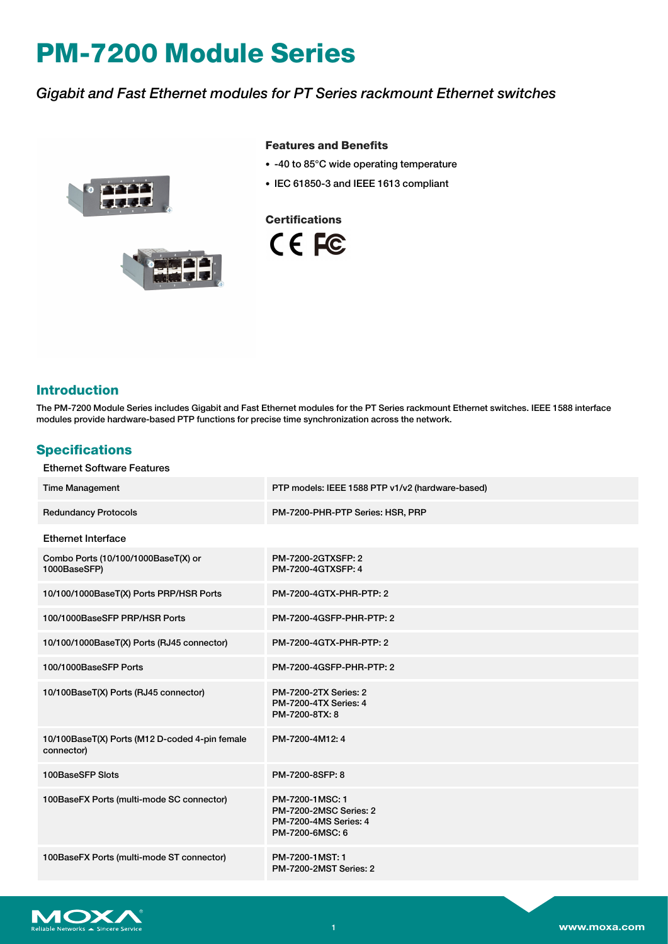# **PM-7200 Module Series**

## *Gigabit and Fast Ethernet modules for PT Series rackmount Ethernet switches*



#### **Features and Benefits**

- -40 to 85°C wide operating temperature
- IEC 61850-3 and IEEE 1613 compliant

**Certifications**

CE FC



### **Introduction**

The PM-7200 Module Series includes Gigabit and Fast Ethernet modules for the PT Series rackmount Ethernet switches. IEEE 1588 interface modules provide hardware-based PTP functions for precise time synchronization across the network.

#### **Specifications**

| <b>Ethernet Software Features</b>                            |                                                                                              |
|--------------------------------------------------------------|----------------------------------------------------------------------------------------------|
| <b>Time Management</b>                                       | PTP models: IEEE 1588 PTP v1/v2 (hardware-based)                                             |
| <b>Redundancy Protocols</b>                                  | PM-7200-PHR-PTP Series: HSR, PRP                                                             |
| <b>Ethernet Interface</b>                                    |                                                                                              |
| Combo Ports (10/100/1000BaseT(X) or<br>1000BaseSFP)          | PM-7200-2GTXSFP: 2<br>PM-7200-4GTXSFP: 4                                                     |
| 10/100/1000BaseT(X) Ports PRP/HSR Ports                      | PM-7200-4GTX-PHR-PTP: 2                                                                      |
| 100/1000BaseSFP PRP/HSR Ports                                | PM-7200-4GSFP-PHR-PTP: 2                                                                     |
| 10/100/1000BaseT(X) Ports (RJ45 connector)                   | <b>PM-7200-4GTX-PHR-PTP: 2</b>                                                               |
| 100/1000BaseSFP Ports                                        | PM-7200-4GSFP-PHR-PTP: 2                                                                     |
| 10/100BaseT(X) Ports (RJ45 connector)                        | <b>PM-7200-2TX Series: 2</b><br><b>PM-7200-4TX Series: 4</b><br>PM-7200-8TX: 8               |
| 10/100BaseT(X) Ports (M12 D-coded 4-pin female<br>connector) | PM-7200-4M12: 4                                                                              |
| 100BaseSFP Slots                                             | PM-7200-8SFP: 8                                                                              |
| 100BaseFX Ports (multi-mode SC connector)                    | PM-7200-1MSC: 1<br><b>PM-7200-2MSC Series: 2</b><br>PM-7200-4MS Series: 4<br>PM-7200-6MSC: 6 |
| 100BaseFX Ports (multi-mode ST connector)                    | PM-7200-1MST: 1<br><b>PM-7200-2MST Series: 2</b>                                             |

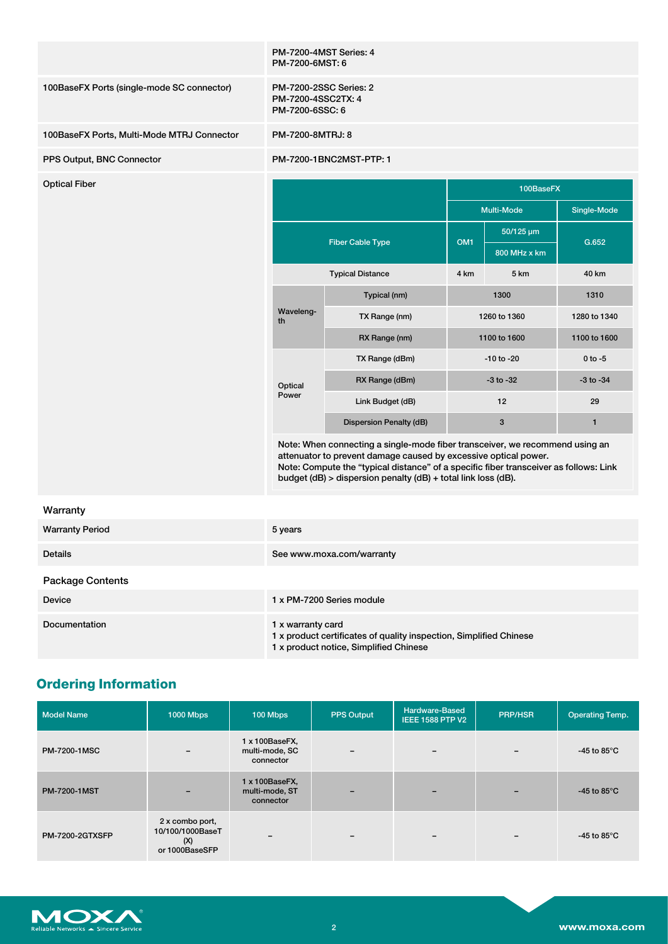|                                            | PM-7200-4MST Series: 4<br>PM-7200-6MST: 6                                                                                                                                                                                                                                                                 |                           |                 |                   |               |
|--------------------------------------------|-----------------------------------------------------------------------------------------------------------------------------------------------------------------------------------------------------------------------------------------------------------------------------------------------------------|---------------------------|-----------------|-------------------|---------------|
| 100BaseFX Ports (single-mode SC connector) | PM-7200-2SSC Series: 2<br>PM-7200-4SSC2TX: 4<br>PM-7200-6SSC: 6                                                                                                                                                                                                                                           |                           |                 |                   |               |
| 100BaseFX Ports, Multi-Mode MTRJ Connector | PM-7200-8MTRJ: 8                                                                                                                                                                                                                                                                                          |                           |                 |                   |               |
| PPS Output, BNC Connector                  |                                                                                                                                                                                                                                                                                                           | PM-7200-1BNC2MST-PTP: 1   |                 |                   |               |
| <b>Optical Fiber</b>                       |                                                                                                                                                                                                                                                                                                           |                           | 100BaseFX       |                   |               |
|                                            |                                                                                                                                                                                                                                                                                                           |                           |                 | <b>Multi-Mode</b> | Single-Mode   |
|                                            |                                                                                                                                                                                                                                                                                                           | <b>Fiber Cable Type</b>   | OM <sub>1</sub> | 50/125 µm         | G.652         |
|                                            |                                                                                                                                                                                                                                                                                                           |                           |                 | 800 MHz x km      |               |
|                                            | <b>Typical Distance</b>                                                                                                                                                                                                                                                                                   |                           | 4 km            | 5 km              | 40 km         |
|                                            | Waveleng-<br>th<br>Optical<br>Power                                                                                                                                                                                                                                                                       | Typical (nm)              |                 | 1300              | 1310          |
|                                            |                                                                                                                                                                                                                                                                                                           | TX Range (nm)             |                 | 1260 to 1360      | 1280 to 1340  |
|                                            |                                                                                                                                                                                                                                                                                                           | RX Range (nm)             |                 | 1100 to 1600      | 1100 to 1600  |
|                                            |                                                                                                                                                                                                                                                                                                           | TX Range (dBm)            | $-10$ to $-20$  |                   | $0$ to $-5$   |
|                                            |                                                                                                                                                                                                                                                                                                           | RX Range (dBm)            |                 | $-3$ to $-32$     | $-3$ to $-34$ |
|                                            |                                                                                                                                                                                                                                                                                                           | Link Budget (dB)          |                 | 12                | 29            |
|                                            |                                                                                                                                                                                                                                                                                                           | Dispersion Penalty (dB)   | 3               |                   | $\mathbf{1}$  |
|                                            | Note: When connecting a single-mode fiber transceiver, we recommend using an<br>attenuator to prevent damage caused by excessive optical power.<br>Note: Compute the "typical distance" of a specific fiber transceiver as follows: Link<br>budget (dB) > dispersion penalty (dB) + total link loss (dB). |                           |                 |                   |               |
| Warranty                                   |                                                                                                                                                                                                                                                                                                           |                           |                 |                   |               |
| <b>Warranty Period</b>                     | 5 years                                                                                                                                                                                                                                                                                                   |                           |                 |                   |               |
| <b>Details</b>                             |                                                                                                                                                                                                                                                                                                           | See www.moxa.com/warranty |                 |                   |               |
|                                            |                                                                                                                                                                                                                                                                                                           |                           |                 |                   |               |

#### Package Contents

| $-$ adnage domone |                                                                                                                                   |
|-------------------|-----------------------------------------------------------------------------------------------------------------------------------|
| <b>Device</b>     | 1 x PM-7200 Series module                                                                                                         |
| Documentation     | 1 x warranty card<br>1 x product certificates of quality inspection, Simplified Chinese<br>1 x product notice, Simplified Chinese |

# **Ordering Information**

| <b>Model Name</b>      | <b>1000 Mbps</b>                                             | 100 Mbps                                      | <b>PPS Output</b>        | Hardware-Based<br><b>IEEE 1588 PTP V2</b> | <b>PRP/HSR</b> | <b>Operating Temp.</b>         |
|------------------------|--------------------------------------------------------------|-----------------------------------------------|--------------------------|-------------------------------------------|----------------|--------------------------------|
| <b>PM-7200-1MSC</b>    | $\overline{\phantom{m}}$                                     | 1 x 100BaseFX,<br>multi-mode, SC<br>connector | $\qquad \qquad$          | $\overline{\phantom{m}}$                  |                | -45 to 85 $^{\circ}$ C         |
| <b>PM-7200-1MST</b>    |                                                              | 1 x 100BaseFX,<br>multi-mode, ST<br>connector | $\overline{\phantom{0}}$ | $\overline{\phantom{0}}$                  |                | -45 to 85 $\mathrm{^{\circ}C}$ |
| <b>PM-7200-2GTXSFP</b> | 2 x combo port,<br>10/100/1000BaseT<br>(X)<br>or 1000BaseSFP | -                                             | $\overline{\phantom{0}}$ | $\overline{\phantom{m}}$                  |                | -45 to 85 $^{\circ}$ C         |

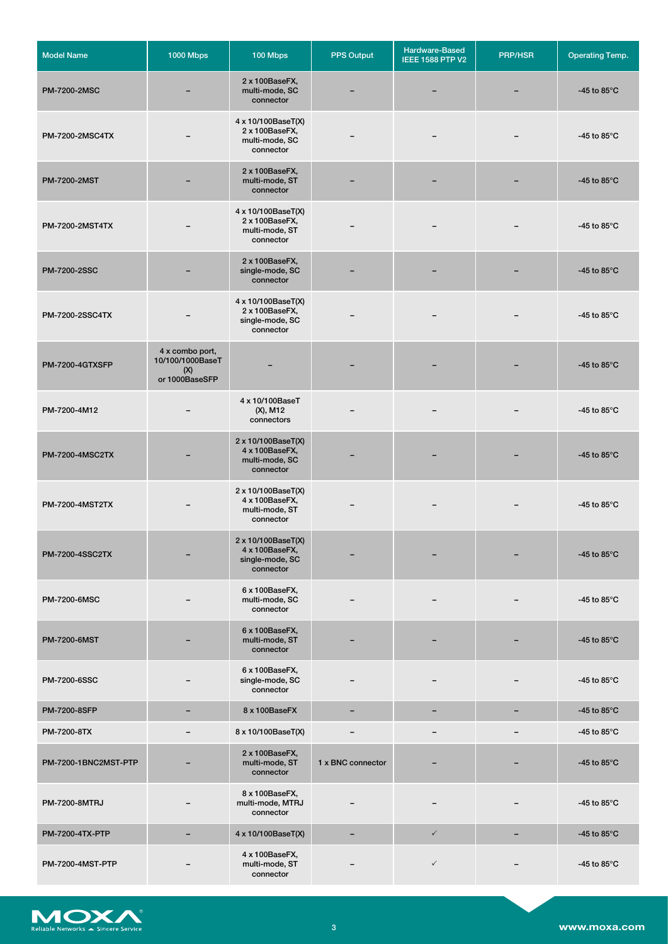| <b>Model Name</b>       | <b>1000 Mbps</b>                                             | 100 Mbps                                                             | PPS Output        | Hardware-Based<br><b>IEEE 1588 PTP V2</b> | <b>PRP/HSR</b> | <b>Operating Temp.</b>         |
|-------------------------|--------------------------------------------------------------|----------------------------------------------------------------------|-------------------|-------------------------------------------|----------------|--------------------------------|
| <b>PM-7200-2MSC</b>     |                                                              | 2 x 100BaseFX,<br>multi-mode, SC<br>connector                        |                   |                                           |                | -45 to 85 $\degree$ C          |
| PM-7200-2MSC4TX         |                                                              | 4 x 10/100BaseT(X)<br>2 x 100BaseFX,<br>multi-mode, SC<br>connector  |                   |                                           |                | -45 to 85 $\mathrm{^{\circ}C}$ |
| <b>PM-7200-2MST</b>     |                                                              | 2 x 100BaseFX,<br>multi-mode, ST<br>connector                        |                   |                                           |                | -45 to 85 $\mathrm{^{\circ}C}$ |
| <b>PM-7200-2MST4TX</b>  |                                                              | 4 x 10/100BaseT(X)<br>2 x 100BaseFX,<br>multi-mode, ST<br>connector  |                   |                                           |                | -45 to 85 $\degree$ C          |
| <b>PM-7200-2SSC</b>     |                                                              | 2 x 100BaseFX,<br>single-mode, SC<br>connector                       |                   |                                           |                | -45 to 85 $\mathrm{^{\circ}C}$ |
| <b>PM-7200-2SSC4TX</b>  |                                                              | 4 x 10/100BaseT(X)<br>2 x 100BaseFX,<br>single-mode, SC<br>connector |                   |                                           |                | -45 to 85 $\degree$ C          |
| PM-7200-4GTXSFP         | 4 x combo port,<br>10/100/1000BaseT<br>(X)<br>or 1000BaseSFP |                                                                      |                   |                                           |                | -45 to 85 $\mathrm{^{\circ}C}$ |
| PM-7200-4M12            |                                                              | 4 x 10/100BaseT<br>(X), M12<br>connectors                            |                   |                                           |                | -45 to 85 $\mathrm{^{\circ}C}$ |
| <b>PM-7200-4MSC2TX</b>  |                                                              | 2 x 10/100BaseT(X)<br>4 x 100BaseFX,<br>multi-mode, SC<br>connector  |                   |                                           |                | -45 to 85 $\degree$ C          |
| <b>PM-7200-4MST2TX</b>  |                                                              | 2 x 10/100BaseT(X)<br>4 x 100BaseFX,<br>multi-mode, ST<br>connector  |                   |                                           |                | -45 to 85 $\degree$ C          |
| <b>PM-7200-4SSC2TX</b>  |                                                              | 2 x 10/100BaseT(X)<br>4 x 100BaseFX,<br>single-mode, SC<br>connector |                   |                                           |                | -45 to 85 $\mathrm{^{\circ}C}$ |
| PM-7200-6MSC            |                                                              | 6 x 100BaseFX,<br>multi-mode, SC<br>connector                        |                   |                                           |                | -45 to 85 $\mathrm{^{\circ}C}$ |
| <b>PM-7200-6MST</b>     |                                                              | 6 x 100BaseFX,<br>multi-mode, ST<br>connector                        |                   |                                           |                | -45 to 85 $\mathrm{^{\circ}C}$ |
| <b>PM-7200-6SSC</b>     |                                                              | 6 x 100BaseFX,<br>single-mode, SC<br>connector                       |                   |                                           |                | -45 to 85 $\mathrm{^{\circ}C}$ |
| <b>PM-7200-8SFP</b>     |                                                              | 8 x 100BaseFX                                                        | $\qquad \qquad -$ |                                           |                | -45 to 85 $\mathrm{^{\circ}C}$ |
| PM-7200-8TX             |                                                              | 8 x 10/100BaseT(X)                                                   |                   |                                           |                | -45 to 85 $\degree$ C          |
| PM-7200-1BNC2MST-PTP    |                                                              | 2 x 100BaseFX,<br>multi-mode, ST<br>connector                        | 1 x BNC connector |                                           |                | -45 to 85 $\mathrm{^{\circ}C}$ |
| <b>PM-7200-8MTRJ</b>    |                                                              | 8 x 100BaseFX,<br>multi-mode, MTRJ<br>connector                      |                   |                                           |                | -45 to 85 $\mathrm{^{\circ}C}$ |
| PM-7200-4TX-PTP         |                                                              | 4 x 10/100BaseT(X)                                                   |                   | $\checkmark$                              |                | -45 to 85 $\mathrm{^{\circ}C}$ |
| <b>PM-7200-4MST-PTP</b> |                                                              | 4 x 100BaseFX,<br>multi-mode, ST<br>connector                        |                   | $\checkmark$                              |                | -45 to 85 $\mathrm{^{\circ}C}$ |

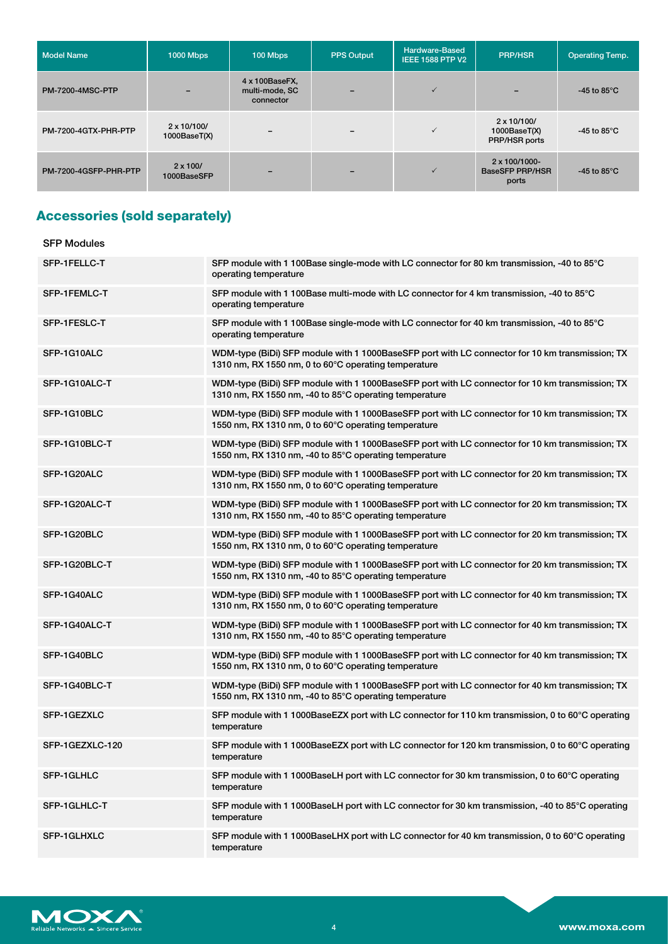| <b>Model Name</b>       | <b>1000 Mbps</b>                     | 100 Mbps                                      | <b>PPS Output</b>        | <b>Hardware-Based</b><br><b>IEEE 1588 PTP V2</b> | <b>PRP/HSR</b>                                           | <b>Operating Temp.</b>         |
|-------------------------|--------------------------------------|-----------------------------------------------|--------------------------|--------------------------------------------------|----------------------------------------------------------|--------------------------------|
| <b>PM-7200-4MSC-PTP</b> |                                      | 4 x 100BaseFX,<br>multi-mode, SC<br>connector | -                        | $\checkmark$                                     |                                                          | -45 to 85 $\mathrm{^{\circ}C}$ |
| PM-7200-4GTX-PHR-PTP    | $2 \times 10/100/$<br>1000Base(T(X)) | $\overline{\phantom{a}}$                      | $\overline{\phantom{0}}$ | $\checkmark$                                     | $2 \times 10/100/$<br>1000BaseT(X)<br>PRP/HSR ports      | -45 to 85 $^{\circ}$ C         |
| PM-7200-4GSFP-PHR-PTP   | $2 \times 100/$<br>1000BaseSFP       |                                               | -                        | $\checkmark$                                     | $2 \times 100/1000 -$<br><b>BaseSFP PRP/HSR</b><br>ports | -45 to 85 $\degree$ C          |

## **Accessories (sold separately)**

| <b>SFP Modules</b> |                                                                                                                                                           |
|--------------------|-----------------------------------------------------------------------------------------------------------------------------------------------------------|
| SFP-1FELLC-T       | SFP module with 1 100Base single-mode with LC connector for 80 km transmission, -40 to 85°C<br>operating temperature                                      |
| SFP-1FEMLC-T       | SFP module with 1 100Base multi-mode with LC connector for 4 km transmission, -40 to 85°C<br>operating temperature                                        |
| SFP-1FESLC-T       | SFP module with 1 100Base single-mode with LC connector for 40 km transmission, -40 to 85°C<br>operating temperature                                      |
| SFP-1G10ALC        | WDM-type (BiDi) SFP module with 1 1000BaseSFP port with LC connector for 10 km transmission; TX<br>1310 nm, RX 1550 nm, 0 to 60°C operating temperature   |
| SFP-1G10ALC-T      | WDM-type (BiDi) SFP module with 1 1000BaseSFP port with LC connector for 10 km transmission; TX<br>1310 nm, RX 1550 nm, -40 to 85°C operating temperature |
| SFP-1G10BLC        | WDM-type (BiDi) SFP module with 1 1000BaseSFP port with LC connector for 10 km transmission; TX<br>1550 nm, RX 1310 nm, 0 to 60°C operating temperature   |
| SFP-1G10BLC-T      | WDM-type (BiDi) SFP module with 1 1000BaseSFP port with LC connector for 10 km transmission; TX<br>1550 nm, RX 1310 nm, -40 to 85°C operating temperature |
| SFP-1G20ALC        | WDM-type (BiDi) SFP module with 1 1000BaseSFP port with LC connector for 20 km transmission; TX<br>1310 nm, RX 1550 nm, 0 to 60°C operating temperature   |
| SFP-1G20ALC-T      | WDM-type (BiDi) SFP module with 1 1000BaseSFP port with LC connector for 20 km transmission; TX<br>1310 nm, RX 1550 nm, -40 to 85°C operating temperature |
| SFP-1G20BLC        | WDM-type (BiDi) SFP module with 1 1000BaseSFP port with LC connector for 20 km transmission; TX<br>1550 nm, RX 1310 nm, 0 to 60°C operating temperature   |
| SFP-1G20BLC-T      | WDM-type (BiDi) SFP module with 1 1000BaseSFP port with LC connector for 20 km transmission; TX<br>1550 nm, RX 1310 nm, -40 to 85°C operating temperature |
| SFP-1G40ALC        | WDM-type (BiDi) SFP module with 1 1000BaseSFP port with LC connector for 40 km transmission; TX<br>1310 nm, RX 1550 nm, 0 to 60°C operating temperature   |
| SFP-1G40ALC-T      | WDM-type (BiDi) SFP module with 1 1000BaseSFP port with LC connector for 40 km transmission; TX<br>1310 nm, RX 1550 nm, -40 to 85°C operating temperature |
| SFP-1G40BLC        | WDM-type (BiDi) SFP module with 1 1000BaseSFP port with LC connector for 40 km transmission; TX<br>1550 nm, RX 1310 nm, 0 to 60°C operating temperature   |
| SFP-1G40BLC-T      | WDM-type (BiDi) SFP module with 1 1000BaseSFP port with LC connector for 40 km transmission; TX<br>1550 nm, RX 1310 nm, -40 to 85°C operating temperature |
| SFP-1GEZXLC        | SFP module with 1 1000BaseEZX port with LC connector for 110 km transmission, 0 to 60 $\degree$ C operating<br>temperature                                |
| SFP-1GEZXLC-120    | SFP module with 1 1000BaseEZX port with LC connector for 120 km transmission, 0 to 60°C operating<br>temperature                                          |
| SFP-1GLHLC         | SFP module with 1 1000BaseLH port with LC connector for 30 km transmission, 0 to 60°C operating<br>temperature                                            |
| SFP-1GLHLC-T       | SFP module with 1 1000BaseLH port with LC connector for 30 km transmission, -40 to 85°C operating<br>temperature                                          |
| SFP-1GLHXLC        | SFP module with 1 1000BaseLHX port with LC connector for 40 km transmission, 0 to 60°C operating<br>temperature                                           |